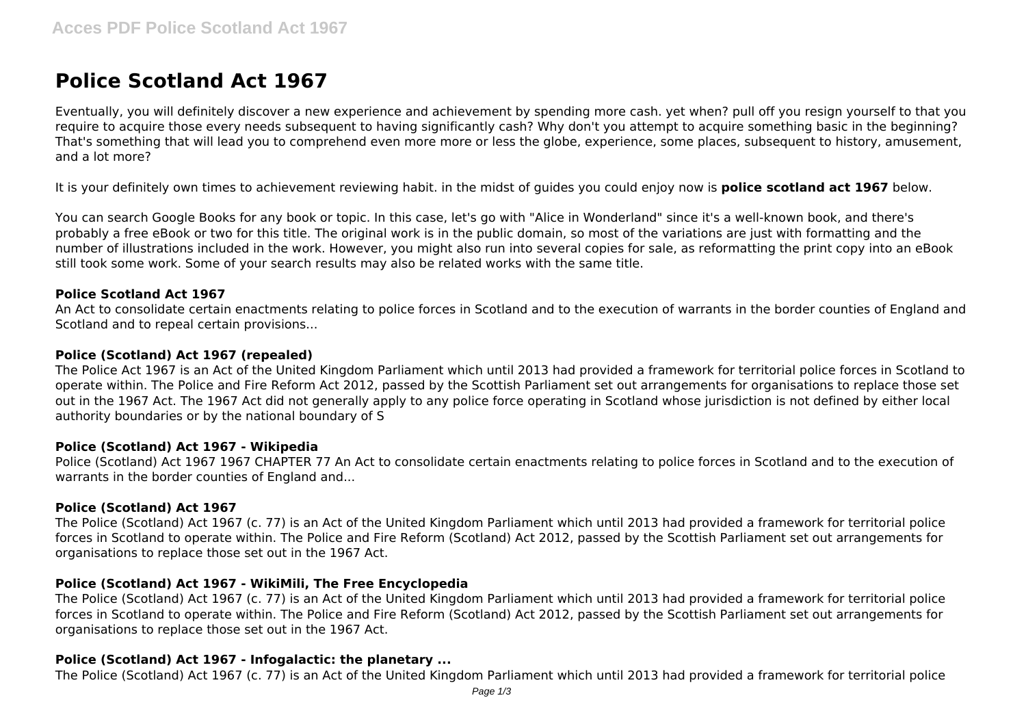# **Police Scotland Act 1967**

Eventually, you will definitely discover a new experience and achievement by spending more cash. yet when? pull off you resign yourself to that you require to acquire those every needs subsequent to having significantly cash? Why don't you attempt to acquire something basic in the beginning? That's something that will lead you to comprehend even more more or less the globe, experience, some places, subsequent to history, amusement, and a lot more?

It is your definitely own times to achievement reviewing habit. in the midst of guides you could enjoy now is **police scotland act 1967** below.

You can search Google Books for any book or topic. In this case, let's go with "Alice in Wonderland" since it's a well-known book, and there's probably a free eBook or two for this title. The original work is in the public domain, so most of the variations are just with formatting and the number of illustrations included in the work. However, you might also run into several copies for sale, as reformatting the print copy into an eBook still took some work. Some of your search results may also be related works with the same title.

# **Police Scotland Act 1967**

An Act to consolidate certain enactments relating to police forces in Scotland and to the execution of warrants in the border counties of England and Scotland and to repeal certain provisions...

# **Police (Scotland) Act 1967 (repealed)**

The Police Act 1967 is an Act of the United Kingdom Parliament which until 2013 had provided a framework for territorial police forces in Scotland to operate within. The Police and Fire Reform Act 2012, passed by the Scottish Parliament set out arrangements for organisations to replace those set out in the 1967 Act. The 1967 Act did not generally apply to any police force operating in Scotland whose jurisdiction is not defined by either local authority boundaries or by the national boundary of S

# **Police (Scotland) Act 1967 - Wikipedia**

Police (Scotland) Act 1967 1967 CHAPTER 77 An Act to consolidate certain enactments relating to police forces in Scotland and to the execution of warrants in the border counties of England and...

# **Police (Scotland) Act 1967**

The Police (Scotland) Act 1967 (c. 77) is an Act of the United Kingdom Parliament which until 2013 had provided a framework for territorial police forces in Scotland to operate within. The Police and Fire Reform (Scotland) Act 2012, passed by the Scottish Parliament set out arrangements for organisations to replace those set out in the 1967 Act.

# **Police (Scotland) Act 1967 - WikiMili, The Free Encyclopedia**

The Police (Scotland) Act 1967 (c. 77) is an Act of the United Kingdom Parliament which until 2013 had provided a framework for territorial police forces in Scotland to operate within. The Police and Fire Reform (Scotland) Act 2012, passed by the Scottish Parliament set out arrangements for organisations to replace those set out in the 1967 Act.

# **Police (Scotland) Act 1967 - Infogalactic: the planetary ...**

The Police (Scotland) Act 1967 (c. 77) is an Act of the United Kingdom Parliament which until 2013 had provided a framework for territorial police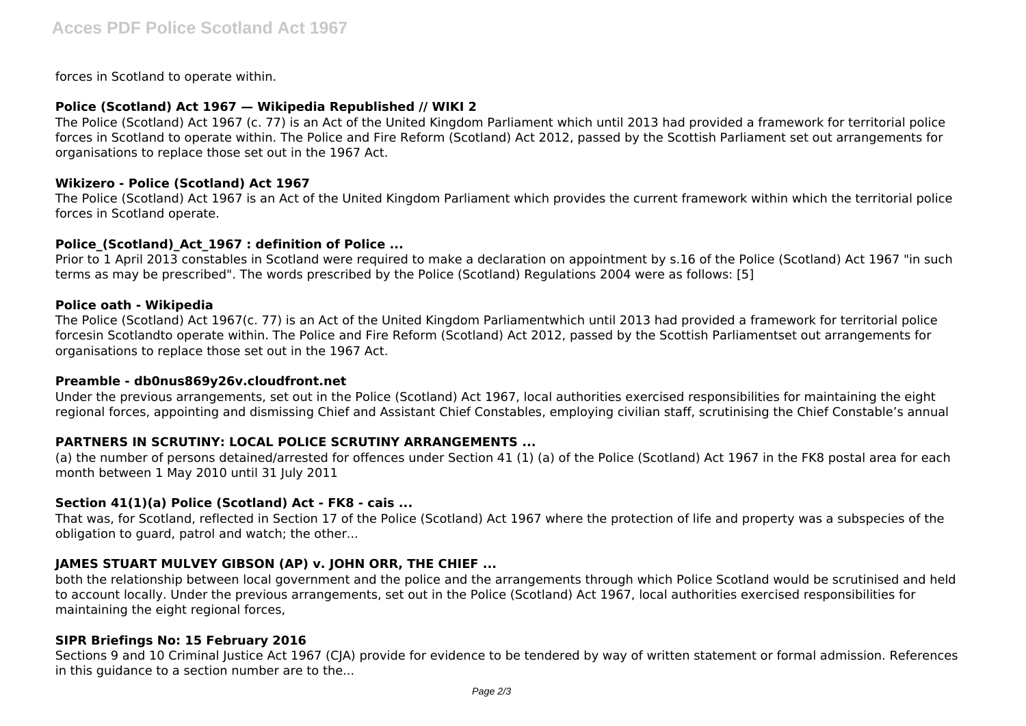forces in Scotland to operate within.

# **Police (Scotland) Act 1967 — Wikipedia Republished // WIKI 2**

The Police (Scotland) Act 1967 (c. 77) is an Act of the United Kingdom Parliament which until 2013 had provided a framework for territorial police forces in Scotland to operate within. The Police and Fire Reform (Scotland) Act 2012, passed by the Scottish Parliament set out arrangements for organisations to replace those set out in the 1967 Act.

# **Wikizero - Police (Scotland) Act 1967**

The Police (Scotland) Act 1967 is an Act of the United Kingdom Parliament which provides the current framework within which the territorial police forces in Scotland operate.

# **Police\_(Scotland)\_Act\_1967 : definition of Police ...**

Prior to 1 April 2013 constables in Scotland were required to make a declaration on appointment by s.16 of the Police (Scotland) Act 1967 "in such terms as may be prescribed". The words prescribed by the Police (Scotland) Regulations 2004 were as follows: [5]

#### **Police oath - Wikipedia**

The Police (Scotland) Act 1967(c. 77) is an Act of the United Kingdom Parliamentwhich until 2013 had provided a framework for territorial police forcesin Scotlandto operate within. The Police and Fire Reform (Scotland) Act 2012, passed by the Scottish Parliamentset out arrangements for organisations to replace those set out in the 1967 Act.

# **Preamble - db0nus869y26v.cloudfront.net**

Under the previous arrangements, set out in the Police (Scotland) Act 1967, local authorities exercised responsibilities for maintaining the eight regional forces, appointing and dismissing Chief and Assistant Chief Constables, employing civilian staff, scrutinising the Chief Constable's annual

# **PARTNERS IN SCRUTINY: LOCAL POLICE SCRUTINY ARRANGEMENTS ...**

(a) the number of persons detained/arrested for offences under Section 41 (1) (a) of the Police (Scotland) Act 1967 in the FK8 postal area for each month between 1 May 2010 until 31 July 2011

# **Section 41(1)(a) Police (Scotland) Act - FK8 - cais ...**

That was, for Scotland, reflected in Section 17 of the Police (Scotland) Act 1967 where the protection of life and property was a subspecies of the obligation to guard, patrol and watch; the other...

# **JAMES STUART MULVEY GIBSON (AP) v. JOHN ORR, THE CHIEF ...**

both the relationship between local government and the police and the arrangements through which Police Scotland would be scrutinised and held to account locally. Under the previous arrangements, set out in the Police (Scotland) Act 1967, local authorities exercised responsibilities for maintaining the eight regional forces,

# **SIPR Briefings No: 15 February 2016**

Sections 9 and 10 Criminal Justice Act 1967 (CJA) provide for evidence to be tendered by way of written statement or formal admission. References in this guidance to a section number are to the...